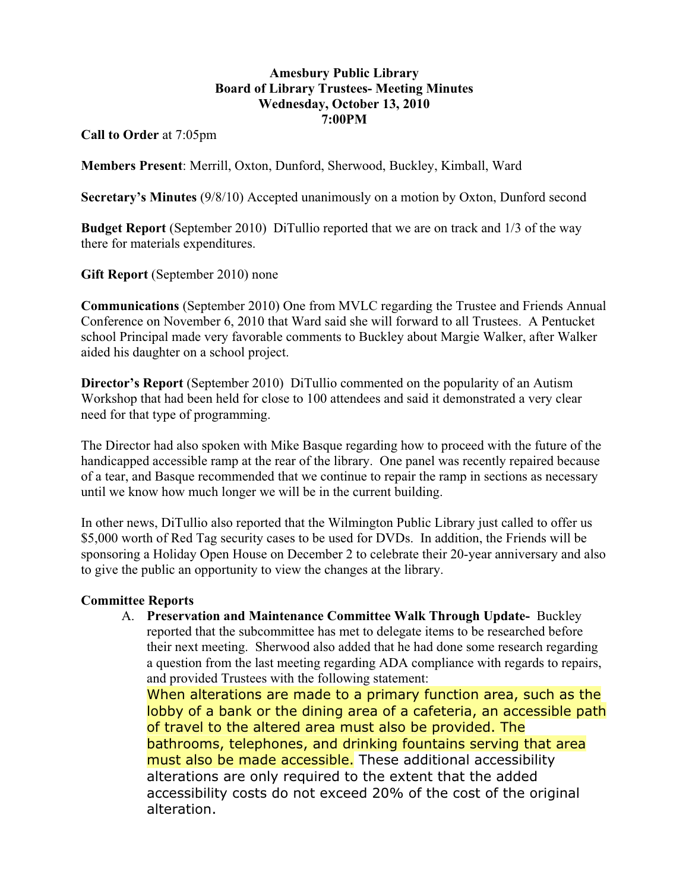## **Amesbury Public Library Board of Library Trustees- Meeting Minutes Wednesday, October 13, 2010 7:00PM**

**Call to Order** at 7:05pm

**Members Present**: Merrill, Oxton, Dunford, Sherwood, Buckley, Kimball, Ward

**Secretary's Minutes** (9/8/10) Accepted unanimously on a motion by Oxton, Dunford second

**Budget Report** (September 2010) DiTullio reported that we are on track and 1/3 of the way there for materials expenditures.

**Gift Report** (September 2010) none

**Communications** (September 2010) One from MVLC regarding the Trustee and Friends Annual Conference on November 6, 2010 that Ward said she will forward to all Trustees. A Pentucket school Principal made very favorable comments to Buckley about Margie Walker, after Walker aided his daughter on a school project.

**Director's Report** (September 2010) DiTullio commented on the popularity of an Autism Workshop that had been held for close to 100 attendees and said it demonstrated a very clear need for that type of programming.

The Director had also spoken with Mike Basque regarding how to proceed with the future of the handicapped accessible ramp at the rear of the library. One panel was recently repaired because of a tear, and Basque recommended that we continue to repair the ramp in sections as necessary until we know how much longer we will be in the current building.

In other news, DiTullio also reported that the Wilmington Public Library just called to offer us \$5,000 worth of Red Tag security cases to be used for DVDs. In addition, the Friends will be sponsoring a Holiday Open House on December 2 to celebrate their 20-year anniversary and also to give the public an opportunity to view the changes at the library.

## **Committee Reports**

A. **Preservation and Maintenance Committee Walk Through Update-** Buckley reported that the subcommittee has met to delegate items to be researched before their next meeting. Sherwood also added that he had done some research regarding a question from the last meeting regarding ADA compliance with regards to repairs, and provided Trustees with the following statement:

When alterations are made to a primary function area, such as the lobby of a bank or the dining area of a cafeteria, an accessible path of travel to the altered area must also be provided. The bathrooms, telephones, and drinking fountains serving that area must also be made accessible. These additional accessibility alterations are only required to the extent that the added accessibility costs do not exceed 20% of the cost of the original alteration.